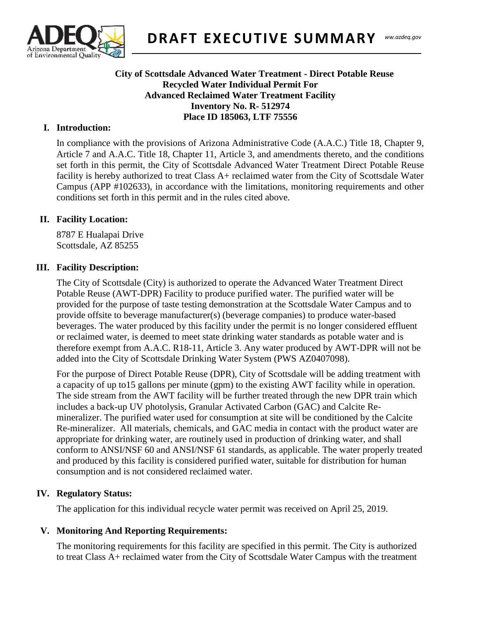

### Southern Regional **City of Scottsdale Advanced Water Treatment - Direct Potable Reuse Recycled Water Individual Permit For Advanced Reclaimed Water Treatment Facility Inventory No. R- 512974 Place ID 185063, LTF 75556**

# **I. Introduction:**

In compliance with the provisions of Arizona Administrative Code (A.A.C.) Title 18, Chapter 9, Article 7 and A.A.C. Title 18, Chapter 11, Article 3, and amendments thereto, and the conditions set forth in this permit, the City of Scottsdale Advanced Water Treatment Direct Potable Reuse facility is hereby authorized to treat Class A+ reclaimed water from the City of Scottsdale Water Campus (APP #102633), in accordance with the limitations, monitoring requirements and other conditions set forth in this permit and in the rules cited above.

## **II. Facility Location:**

8787 E Hualapai Drive Scottsdale, AZ 85255

## **III. Facility Description:**

The City of Scottsdale (City) is authorized to operate the Advanced Water Treatment Direct Potable Reuse (AWT-DPR) Facility to produce purified water. The purified water will be provided for the purpose of taste testing demonstration at the Scottsdale Water Campus and to provide offsite to beverage manufacturer(s) (beverage companies) to produce water-based beverages. The water produced by this facility under the permit is no longer considered effluent or reclaimed water, is deemed to meet state drinking water standards as potable water and is therefore exempt from A.A.C. R18-11, Article 3. Any water produced by AWT-DPR will not be added into the City of Scottsdale Drinking Water System (PWS AZ0407098).

For the purpose of Direct Potable Reuse (DPR), City of Scottsdale will be adding treatment with a capacity of up to15 gallons per minute (gpm) to the existing AWT facility while in operation. The side stream from the AWT facility will be further treated through the new DPR train which includes a back-up UV photolysis, Granular Activated Carbon (GAC) and Calcite Remineralizer. The purified water used for consumption at site will be conditioned by the Calcite Re-mineralizer. All materials, chemicals, and GAC media in contact with the product water are appropriate for drinking water, are routinely used in production of drinking water, and shall conform to ANSI/NSF 60 and ANSI/NSF 61 standards, as applicable. The water properly treated and produced by this facility is considered purified water, suitable for distribution for human consumption and is not considered reclaimed water.

## **IV. Regulatory Status:**

The application for this individual recycle water permit was received on April 25, 2019.

## **V. Monitoring And Reporting Requirements:**

The monitoring requirements for this facility are specified in this permit. The City is authorized to treat Class A+ reclaimed water from the City of Scottsdale Water Campus with the treatment